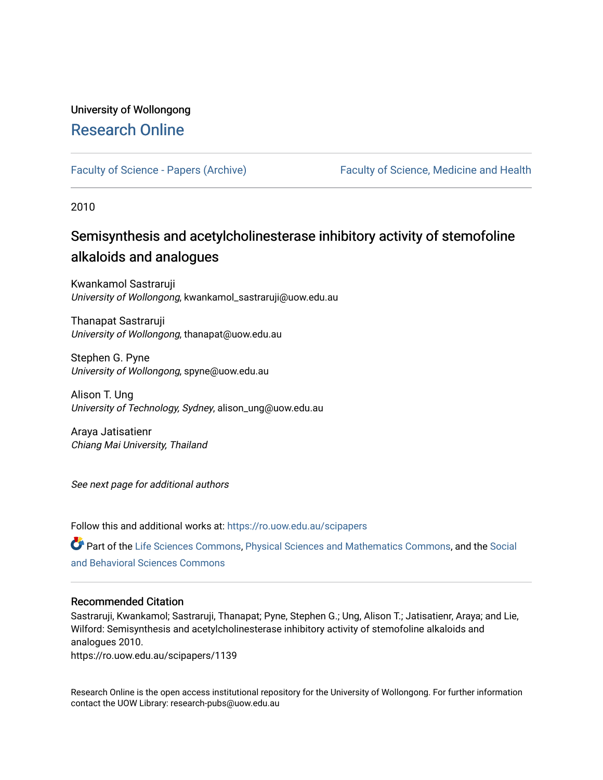# University of Wollongong [Research Online](https://ro.uow.edu.au/)

[Faculty of Science - Papers \(Archive\)](https://ro.uow.edu.au/scipapers) Faculty of Science, Medicine and Health

2010

# Semisynthesis and acetylcholinesterase inhibitory activity of stemofoline alkaloids and analogues

Kwankamol Sastraruji University of Wollongong, kwankamol\_sastraruji@uow.edu.au

Thanapat Sastraruji University of Wollongong, thanapat@uow.edu.au

Stephen G. Pyne University of Wollongong, spyne@uow.edu.au

Alison T. Ung University of Technology, Sydney, alison\_ung@uow.edu.au

Araya Jatisatienr Chiang Mai University, Thailand

See next page for additional authors

Follow this and additional works at: [https://ro.uow.edu.au/scipapers](https://ro.uow.edu.au/scipapers?utm_source=ro.uow.edu.au%2Fscipapers%2F1139&utm_medium=PDF&utm_campaign=PDFCoverPages)

Part of the [Life Sciences Commons,](http://network.bepress.com/hgg/discipline/1016?utm_source=ro.uow.edu.au%2Fscipapers%2F1139&utm_medium=PDF&utm_campaign=PDFCoverPages) [Physical Sciences and Mathematics Commons,](http://network.bepress.com/hgg/discipline/114?utm_source=ro.uow.edu.au%2Fscipapers%2F1139&utm_medium=PDF&utm_campaign=PDFCoverPages) and the Social [and Behavioral Sciences Commons](http://network.bepress.com/hgg/discipline/316?utm_source=ro.uow.edu.au%2Fscipapers%2F1139&utm_medium=PDF&utm_campaign=PDFCoverPages) 

#### Recommended Citation

Sastraruji, Kwankamol; Sastraruji, Thanapat; Pyne, Stephen G.; Ung, Alison T.; Jatisatienr, Araya; and Lie, Wilford: Semisynthesis and acetylcholinesterase inhibitory activity of stemofoline alkaloids and analogues 2010.

https://ro.uow.edu.au/scipapers/1139

Research Online is the open access institutional repository for the University of Wollongong. For further information contact the UOW Library: research-pubs@uow.edu.au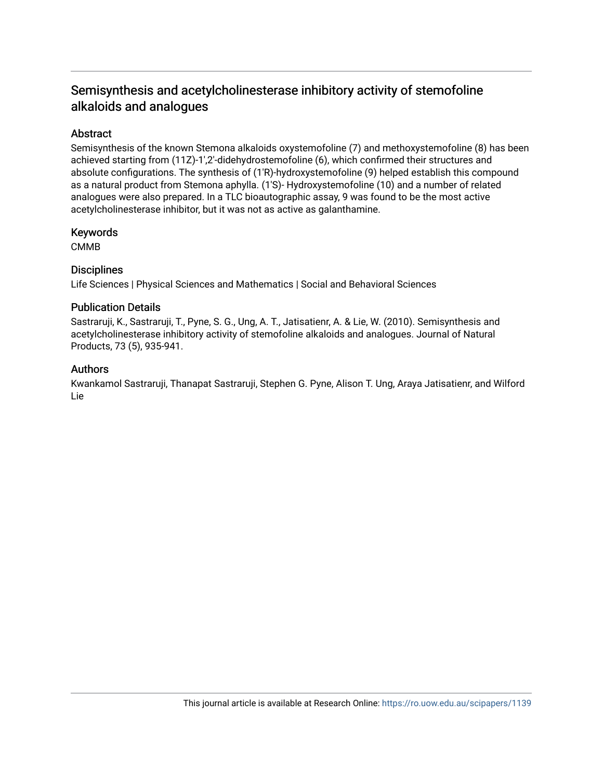## Semisynthesis and acetylcholinesterase inhibitory activity of stemofoline alkaloids and analogues

### Abstract

Semisynthesis of the known Stemona alkaloids oxystemofoline (7) and methoxystemofoline (8) has been achieved starting from (11Z)-1′,2′-didehydrostemofoline (6), which confirmed their structures and absolute configurations. The synthesis of (1′R)-hydroxystemofoline (9) helped establish this compound as a natural product from Stemona aphylla. (1′S)- Hydroxystemofoline (10) and a number of related analogues were also prepared. In a TLC bioautographic assay, 9 was found to be the most active acetylcholinesterase inhibitor, but it was not as active as galanthamine.

#### Keywords

CMMB

### **Disciplines**

Life Sciences | Physical Sciences and Mathematics | Social and Behavioral Sciences

#### Publication Details

Sastraruji, K., Sastraruji, T., Pyne, S. G., Ung, A. T., Jatisatienr, A. & Lie, W. (2010). Semisynthesis and acetylcholinesterase inhibitory activity of stemofoline alkaloids and analogues. Journal of Natural Products, 73 (5), 935-941.

### Authors

Kwankamol Sastraruji, Thanapat Sastraruji, Stephen G. Pyne, Alison T. Ung, Araya Jatisatienr, and Wilford Lie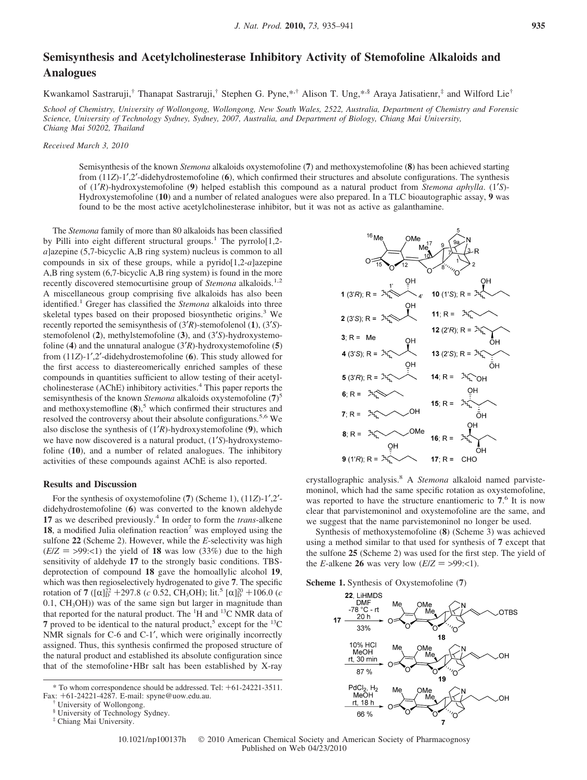### **Semisynthesis and Acetylcholinesterase Inhibitory Activity of Stemofoline Alkaloids and Analogues**

Kwankamol Sastraruji,<sup>†</sup> Thanapat Sastraruji,<sup>†</sup> Stephen G. Pyne,\*<sup>,†</sup> Alison T. Ung,\*<sup>,§</sup> Araya Jatisatienr,<sup>‡</sup> and Wilford Lie<sup>†</sup>

*School of Chemistry, Uni*V*ersity of Wollongong, Wollongong, New South Wales, 2522, Australia, Department of Chemistry and Forensic Science, Uni*V*ersity of Technology Sydney, Sydney, 2007, Australia, and Department of Biology, Chiang Mai Uni*V*ersity, Chiang Mai 50202, Thailand*

*Recei*V*ed March 3, 2010*

Semisynthesis of the known *Stemona* alkaloids oxystemofoline (**7**) and methoxystemofoline (**8**) has been achieved starting from (11*Z*)-1′,2′-didehydrostemofoline (**6**), which confirmed their structures and absolute configurations. The synthesis of (1′*R*)-hydroxystemofoline (**9**) helped establish this compound as a natural product from *Stemona aphylla*. (1′*S*)- Hydroxystemofoline (**10**) and a number of related analogues were also prepared. In a TLC bioautographic assay, **9** was found to be the most active acetylcholinesterase inhibitor, but it was not as active as galanthamine.

The *Stemona* family of more than 80 alkaloids has been classified by Pilli into eight different structural groups.<sup>1</sup> The pyrrolo[1,2*a*]azepine (5,7-bicyclic A,B ring system) nucleus is common to all compounds in six of these groups, while a pyrido[1,2-*a*]azepine A,B ring system (6,7-bicyclic A,B ring system) is found in the more recently discovered stemocurtisine group of *Stemona* alkaloids.<sup>1,2</sup> A miscellaneous group comprising five alkaloids has also been identified.<sup>1</sup> Greger has classified the *Stemona* alkaloids into three skeletal types based on their proposed biosynthetic origins.<sup>3</sup> We recently reported the semisynthesis of (3′*R*)-stemofolenol (**1**), (3′*S*) stemofolenol (**2**), methylstemofoline (**3**), and (3′*S*)-hydroxystemofoline (**4**) and the unnatural analogue (3′*R*)-hydroxystemofoline (**5**) from (11*Z*)-1′,2′-didehydrostemofoline (**6**). This study allowed for the first access to diastereomerically enriched samples of these compounds in quantities sufficient to allow testing of their acetylcholinesterase (AChE) inhibitory activities.<sup>4</sup> This paper reports the semisynthesis of the known *Stemona* alkaloids oxystemofoline (**7**) 5 and methoxystemofline  $(8)$ ,<sup>5</sup> which confirmed their structures and resolved the controversy about their absolute configurations.<sup>5,6</sup> We also disclose the synthesis of (1′*R*)-hydroxystemofoline (**9**), which we have now discovered is a natural product, (1′*S*)-hydroxystemofoline (**10**), and a number of related analogues. The inhibitory activities of these compounds against AChE is also reported.

#### **Results and Discussion**

For the synthesis of oxystemofoline (**7**) (Scheme 1), (11*Z*)-1′,2′ didehydrostemofoline (**6**) was converted to the known aldehyde **17** as we described previously.<sup>4</sup> In order to form the *trans*-alkene 18, a modified Julia olefination reaction<sup>7</sup> was employed using the sulfone **22** (Scheme 2). However, while the *E*-selectivity was high  $(E/Z = >99: < 1)$  the yield of 18 was low (33%) due to the high sensitivity of aldehyde **17** to the strongly basic conditions. TBSdeprotection of compound **18** gave the homoallylic alcohol **19**, which was then regioselectively hydrogenated to give **7**. The specific rotation of **7** ( $[\alpha]_D^{22} + 297.8$  (*c* 0.52, CH<sub>3</sub>OH); lit.<sup>5</sup>  $[\alpha]_D^{20} + 106.0$  (*c* 0.1 CH<sub>2</sub>OH)) was of the same sign but larger in magnitude than  $(0.1, CH<sub>3</sub>OH))$  was of the same sign but larger in magnitude than that reported for the natural product. The <sup>1</sup>H and <sup>13</sup>C NMR data of **7** proved to be identical to the natural product,<sup>5</sup> except for the  $^{13}C$ NMR signals for C-6 and C-1′, which were originally incorrectly assigned. Thus, this synthesis confirmed the proposed structure of the natural product and established its absolute configuration since that of the stemofoline · HBr salt has been established by X-ray



crystallographic analysis.8 A *Stemona* alkaloid named parvistemoninol, which had the same specific rotation as oxystemofoline, was reported to have the structure enantiomeric to **7**. <sup>6</sup> It is now clear that parvistemoninol and oxystemofoline are the same, and we suggest that the name parvistemoninol no longer be used.

Synthesis of methoxystemofoline (**8**) (Scheme 3) was achieved using a method similar to that used for synthesis of **7** except that the sulfone **25** (Scheme 2) was used for the first step. The yield of the *E*-alkene **26** was very low  $(E/Z = >99: <1)$ .

**Scheme 1.** Synthesis of Oxystemofoline (**7**)





<sup>\*</sup> To whom correspondence should be addressed. Tel: +61-24221-3511.

Fax: <sup>+</sup>61-24221-4287. E-mail: spyne@uow.edu.au. † University of Wollongong.

<sup>§</sup> University of Technology Sydney.

<sup>‡</sup> Chiang Mai University.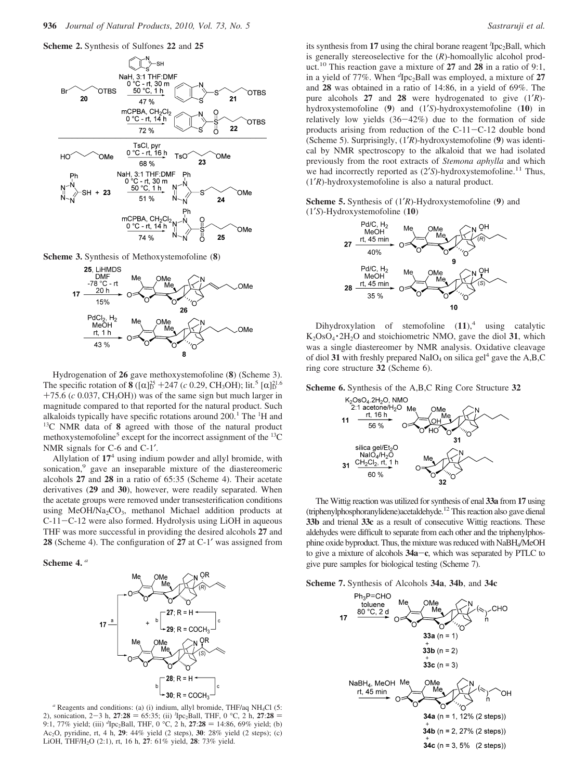

**Scheme 3.** Synthesis of Methoxystemofoline (**8**)



Hydrogenation of **26** gave methoxystemofoline (**8**) (Scheme 3). The specific rotation of **8**  $((\alpha)^{25} + 247$  (*c* 0.29, CH<sub>3</sub>OH); lit.<sup>5</sup> [ $\alpha$ ]<sup>21.6</sup><br>+25 6 (*c* 0.037 CH<sub>2</sub>OH)) was of the same sign but much larger in  $+75.6$  ( $c$  0.037, CH<sub>3</sub>OH)) was of the same sign but much larger in magnitude compared to that reported for the natural product. Such alkaloids typically have specific rotations around  $200$ .<sup>1</sup> The <sup>1</sup>H and 13C NMR data of **8** agreed with those of the natural product methoxystemofoline<sup>5</sup> except for the incorrect assignment of the  $^{13}$ C NMR signals for C-6 and C-1′.

Allylation of **17**<sup>4</sup> using indium powder and allyl bromide, with sonication,<sup>9</sup> gave an inseparable mixture of the diastereomeric alcohols **27** and **28** in a ratio of 65:35 (Scheme 4). Their acetate derivatives (**29** and **30**), however, were readily separated. When the acetate groups were removed under transesterification conditions using MeOH/Na<sub>2</sub>CO<sub>3</sub>, methanol Michael addition products at C-11-C-12 were also formed. Hydrolysis using LiOH in aqueous THF was more successful in providing the desired alcohols **27** and **28** (Scheme 4). The configuration of **27** at C-1′ was assigned from

#### **Scheme 4.** *<sup>a</sup>*



*<sup>a</sup>* Reagents and conditions: (a) (i) indium, allyl bromide, THF/aq NH4Cl (5: 2), sonication,  $2-3$  h,  $27:28 = 65:35$ ; (ii) <sup>*l*</sup>[pc<sub>2</sub>Ball, THF, 0 °C, 2 h,  $27:28 = 9:1, 77\%$  yield; (iii) <sup>*d*</sup>[pc<sub>2</sub>Ball, THF, 0 °C, 2 h,  $27:28 = 14:86, 69\%$  yield; (b) 9:1, 77% yield; (iii) <sup>d</sup>Ipc<sub>2</sub>Ball, THF, 0 °C, 2 h, 27:28 = 14:86, 69% yield; (b)<br>Ac<sub>2</sub>O pyridine rt 4 h 29:44% yield (2 steps) 30:28% yield (2 steps); (c) Ac2O, pyridine, rt, 4 h, **29**: 44% yield (2 steps), **30**: 28% yield (2 steps); (c) LiOH, THF/H2O (2:1), rt, 16 h, **27**: 61% yield, **28**: 73% yield.

its synthesis from 17 using the chiral borane reagent <sup>*l*</sup>Ipc<sub>2</sub>Ball, which is generally stereoselective for the (*R*)-homoallylic alcohol product.10 This reaction gave a mixture of **27** and **28** in a ratio of 9:1, in a yield of 77%. When <sup>d</sup>Ipc<sub>2</sub>Ball was employed, a mixture of 27 and **28** was obtained in a ratio of 14:86, in a yield of 69%. The pure alcohols **27** and **28** were hydrogenated to give (1′*R*) hydroxystemofoline (**9**) and (1′*S*)-hydroxystemofoline (**10**) in relatively low yields  $(36-42%)$  due to the formation of side products arising from reduction of the C-11-C-12 double bond (Scheme 5). Surprisingly, (1′*R*)-hydroxystemofoline (**9**) was identical by NMR spectroscopy to the alkaloid that we had isolated previously from the root extracts of *Stemona aphylla* and which we had incorrectly reported as  $(2'S)$ -hydroxystemofoline.<sup>11</sup> Thus, (1′*R*)-hydroxystemofoline is also a natural product.





Dihydroxylation of stemofoline  $(11)$ ,<sup>4</sup> using catalytic K2OsO4 · 2H2O and stoichiometric NMO, gave the diol **<sup>31</sup>**, which was a single diastereomer by NMR analysis. Oxidative cleavage of diol 31 with freshly prepared  $NaIO<sub>4</sub>$  on silica gel<sup>4</sup> gave the A,B,C ring core structure **32** (Scheme 6).

**Scheme 6.** Synthesis of the A,B,C Ring Core Structure **32**



The Wittig reaction was utilized for synthesis of enal **33a** from **17** using (triphenylphosphoranylidene)acetaldehyde.<sup>12</sup> This reaction also gave dienal **33b** and trienal **33c** as a result of consecutive Wittig reactions. These aldehydes were difficult to separate from each other and the triphenylphosphine oxide byproduct. Thus, the mixture was reduced with NaBH4/MeOH to give a mixture of alcohols **34a**-**c**, which was separated by PTLC to give pure samples for biological testing (Scheme 7).

**Scheme 7.** Synthesis of Alcohols **34a**, **34b**, and **34c**

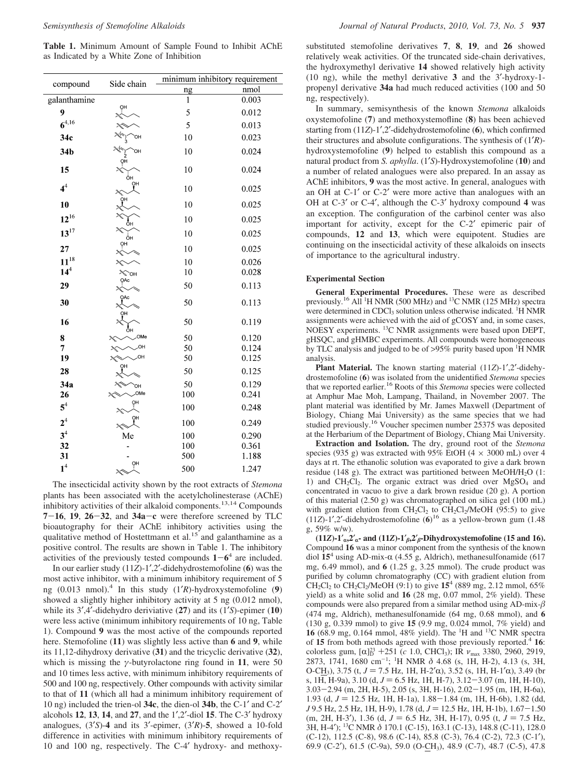**Table 1.** Minimum Amount of Sample Found to Inhibit AChE as Indicated by a White Zone of Inhibition

|                    | Side chain                                                                                                                                                                                                                                                                                                                                                                        | minimum inhibitory requirement |       |
|--------------------|-----------------------------------------------------------------------------------------------------------------------------------------------------------------------------------------------------------------------------------------------------------------------------------------------------------------------------------------------------------------------------------|--------------------------------|-------|
| compound           |                                                                                                                                                                                                                                                                                                                                                                                   | <u>ng</u>                      | nmol  |
| galanthamine       |                                                                                                                                                                                                                                                                                                                                                                                   | $\mathbf{1}$                   | 0.003 |
| 9                  | ŌH                                                                                                                                                                                                                                                                                                                                                                                | 5                              | 0.012 |
| $6^{4,16}$         |                                                                                                                                                                                                                                                                                                                                                                                   | 5                              | 0.013 |
| 34c                |                                                                                                                                                                                                                                                                                                                                                                                   | 10                             | 0.023 |
| 34b                | OН                                                                                                                                                                                                                                                                                                                                                                                | 10                             | 0.024 |
| 15                 | ŌН<br>ÔΗ                                                                                                                                                                                                                                                                                                                                                                          | 10                             | 0.024 |
| 4 <sup>4</sup>     | OH<br>$\begin{picture}(120,111) \put(0,0){\vector(1,0){10}} \put(15,0){\vector(1,0){10}} \put(15,0){\vector(1,0){10}} \put(15,0){\vector(1,0){10}} \put(15,0){\vector(1,0){10}} \put(15,0){\vector(1,0){10}} \put(15,0){\vector(1,0){10}} \put(15,0){\vector(1,0){10}} \put(15,0){\vector(1,0){10}} \put(15,0){\vector(1,0){10}} \put(15,0){\vector(1,0){10}} \put(15,0){\vector$ | 10                             | 0.025 |
| 10                 | OH                                                                                                                                                                                                                                                                                                                                                                                | 10                             | 0.025 |
| $12^{16}$          | ŌH                                                                                                                                                                                                                                                                                                                                                                                | 10                             | 0.025 |
| $13^{17}$          | $2\frac{1}{2}$<br>ôн                                                                                                                                                                                                                                                                                                                                                              | 10                             | 0.025 |
| 27                 | ŌH<br>$\approx$                                                                                                                                                                                                                                                                                                                                                                   | 10                             | 0.025 |
| $11^{18}$          | $2\sqrt{2}$                                                                                                                                                                                                                                                                                                                                                                       | 10                             | 0.026 |
| 14 <sup>4</sup>    | $25$ OH                                                                                                                                                                                                                                                                                                                                                                           | 10                             | 0.028 |
| 29                 | QAc<br>$2\sqrt{2}$                                                                                                                                                                                                                                                                                                                                                                | 50                             | 0.113 |
| 30                 | OAc<br>λ                                                                                                                                                                                                                                                                                                                                                                          | 50                             | 0.113 |
| 16                 | ΟН<br>ŌН                                                                                                                                                                                                                                                                                                                                                                          | 50                             | 0.119 |
| 8                  | OMe<br>κ                                                                                                                                                                                                                                                                                                                                                                          | 50                             | 0.120 |
| 7                  | κ                                                                                                                                                                                                                                                                                                                                                                                 | 50                             | 0.124 |
| 19                 | он<br>κ<br>он                                                                                                                                                                                                                                                                                                                                                                     | 50                             | 0.125 |
| 28                 |                                                                                                                                                                                                                                                                                                                                                                                   | 50                             | 0.125 |
| 34a                | 陀<br>OН                                                                                                                                                                                                                                                                                                                                                                           | 50                             | 0.129 |
| 26                 | OMe                                                                                                                                                                                                                                                                                                                                                                               | 100                            | 0.241 |
| $5^4$              | ŌΗ<br>مبهم                                                                                                                                                                                                                                                                                                                                                                        | 100                            | 0.248 |
| 2 <sup>4</sup>     | ŌH<br>25                                                                                                                                                                                                                                                                                                                                                                          | 100                            | 0.249 |
| 3 <sup>4</sup>     | Me                                                                                                                                                                                                                                                                                                                                                                                | 100                            | 0.290 |
| 32                 |                                                                                                                                                                                                                                                                                                                                                                                   | 100                            | 0.361 |
| 31                 |                                                                                                                                                                                                                                                                                                                                                                                   | 500                            | 1.188 |
| $\boldsymbol{1}^4$ | ŌН<br>36                                                                                                                                                                                                                                                                                                                                                                          | 500                            | 1.247 |

The insecticidal activity shown by the root extracts of *Stemona* plants has been associated with the acetylcholinesterase (AChE) inhibitory activities of their alkaloid components.13,14 Compounds **<sup>7</sup>**-**16**, **<sup>19</sup>**, **<sup>26</sup>**-**32**, and **34a**-**<sup>c</sup>** were therefore screened by TLC bioautography for their AChE inhibitory activities using the qualitative method of Hostettmann et al.<sup>15</sup> and galanthamine as a positive control. The results are shown in Table 1. The inhibitory activities of the previously tested compounds  $1 - 6^4$  are included.

In our earlier study (11*Z*)-1′,2′-didehydrostemofoline (**6**) was the most active inhibitor, with a minimum inhibitory requirement of 5 ng (0.013 nmol).<sup>4</sup> In this study (1′*R*)-hydroxystemofoline (**9**) showed a slightly higher inhibitory activity at 5 ng (0.012 nmol), while its 3′,4′-didehydro deriviative (**27**) and its (1′*S*)-epimer (**10**) were less active (minimum inhibitory requirements of 10 ng, Table 1). Compound **9** was the most active of the compounds reported here. Stemofoline (**11**) was slightly less active than **6** and **9**, while its 11,12-dihydroxy derivative (**31**) and the tricyclic derivative (**32**), which is missing the *γ*-butyrolactone ring found in **11**, were 50 and 10 times less active, with minimum inhibitory requirements of 500 and 100 ng, respectively. Other compounds with activity similar to that of **11** (which all had a minimum inhibitory requirement of 10 ng) included the trien-ol **34c**, the dien-ol **34b**, the C-1′ and C-2′ alcohols **12**, **13**, **14**, and **27**, and the 1′,2′-diol **15**. The C-3′ hydroxy analogues, (3′*S*)-**4** and its 3′-epimer, (3′*R*)-**5**, showed a 10-fold difference in activities with minimum inhibitory requirements of 10 and 100 ng, respectively. The C-4′ hydroxy- and methoxysubstituted stemofoline derivatives **7**, **8**, **19**, and **26** showed relatively weak activities. Of the truncated side-chain derivatives, the hydroxymethyl derivative **14** showed relatively high activity (10 ng), while the methyl derivative **3** and the 3′-hydroxy-1 propenyl derivative **34a** had much reduced activities (100 and 50 ng, respectively).

In summary, semisynthesis of the known *Stemona* alkaloids oxystemofoline (**7**) and methoxystemofline (**8**) has been achieved starting from (11*Z*)-1′,2′-didehydrostemofoline (**6**), which confirmed their structures and absolute configurations. The synthesis of (1′*R*) hydroxystemofoline (**9**) helped to establish this compound as a natural product from *S. aphylla*. (1′*S*)-Hydroxystemofoline (**10**) and a number of related analogues were also prepared. In an assay as AChE inhibitors, **9** was the most active. In general, analogues with an OH at C-1′ or C-2′ were more active than analogues with an OH at C-3′ or C-4′, although the C-3′ hydroxy compound **4** was an exception. The configuration of the carbinol center was also important for activity, except for the C-2′ epimeric pair of compounds, **12** and **13**, which were equipotent. Studies are continuing on the insecticidal activity of these alkaloids on insects of importance to the agricultural industry.

#### **Experimental Section**

**General Experimental Procedures.** These were as described previously.<sup>16</sup> All<sup>1</sup>H NMR (500 MHz) and <sup>13</sup>C NMR (125 MHz) spectra were determined in CDCl<sub>3</sub> solution unless otherwise indicated. <sup>1</sup>H NMR assignments were achieved with the aid of gCOSY and, in some cases, NOESY experiments. 13C NMR assignments were based upon DEPT, gHSQC, and gHMBC experiments. All compounds were homogeneous by TLC analysis and judged to be of >95% purity based upon <sup>1</sup>H NMR analysis.

**Plant Material.** The known starting material (11*Z*)-1′,2′-didehydrostemofoline (**6**) was isolated from the unidentified *Stemona* species that we reported earlier.16 Roots of this *Stemona* species were collected at Amphur Mae Moh, Lampang, Thailand, in November 2007. The plant material was identified by Mr. James Maxwell (Department of Biology, Chiang Mai University) as the same species that we had studied previously.<sup>16</sup> Voucher specimen number 25375 was deposited at the Herbarium of the Department of Biology, Chiang Mai University.

**Extraction and Isolation.** The dry, ground root of the *Stemona* species (935 g) was extracted with 95% EtOH (4  $\times$  3000 mL) over 4 days at rt. The ethanolic solution was evaporated to give a dark brown residue (148 g). The extract was partitioned between MeOH/H<sub>2</sub>O (1: 1) and  $CH_2Cl_2$ . The organic extract was dried over  $MgSO_4$  and concentrated in vacuo to give a dark brown residue (20 g). A portion of this material (2.50 g) was chromatographed on silica gel (100 mL) with gradient elution from  $CH_2Cl_2$  to  $CH_2Cl_2/MeOH$  (95:5) to give (11*Z*)-1′,2′-didehydrostemofoline (**6**) <sup>16</sup> as a yellow-brown gum (1.48 g, 59% w/w).

(11*Z*)-1<sup>'</sup><sub>*a*</sub>,2<sup>'</sup><sub>*a*</sub>**-** and (11*Z*)-1<sup>'</sup><sub>*f*</sub>,2<sup>'</sup><sub>*f*</sub></sub>**-Dihydroxystemofoline (15 and 16).** Compound **16** was a minor component from the synthesis of the known diol  $15^4$  using AD-mix- $\alpha$  (4.55 g, Aldrich), methanesulfonamide (617 mg, 6.49 mmol), and **6** (1.25 g, 3.25 mmol). The crude product was purified by column chromatography (CC) with gradient elution from CH<sub>2</sub>Cl<sub>2</sub> to CH<sub>2</sub>Cl<sub>2</sub>/MeOH (9:1) to give  $15^4$  (889 mg, 2.12 mmol, 65%) yield) as a white solid and **16** (28 mg, 0.07 mmol, 2% yield). These compounds were also prepared from a similar method using AD-mix-*-* (474 mg, Aldrich), methanesulfonamide (64 mg, 0.68 mmol), and **6** (130 g, 0.339 mmol) to give **15** (9.9 mg, 0.024 mmol, 7% yield) and **16** (68.9 mg, 0.164 mmol, 48% yield). The <sup>1</sup>H and <sup>13</sup>C NMR spectra of **15** from both methods agreed with those previously reported.<sup>4</sup> **16**: colorless gum, [α]<sup>23</sup> +251 (*c* 1.0, CHCl<sub>3</sub>); IR *ν*<sub>max</sub> 3380, 2960, 2919, 2973, 1741, 1680 cm<sup>-1, 1</sup>H NMR δ 4.68 (s, 1H, H<sub>-2</sub>), 4.13 (s, 3H 2873, 1741, 1680 cm-<sup>1</sup> ; 1 H NMR *δ* 4.68 (s, 1H, H-2), 4.13 (s, 3H, O-CH<sub>3</sub>), 3.75 (t,  $J = 7.5$  Hz, 1H, H-2' $\alpha$ ), 3.52 (s, 1H, H-1' $\alpha$ ), 3.49 (br s, 1H, H-9a), 3.10 (d,  $J = 6.5$  Hz, 1H, H-7), 3.12-3.07 (m, 1H, H-10), 3.03-2.94 (m, 2H, H-5), 2.05 (s, 3H, H-16), 2.02-1.95 (m, 1H, H-6a), 1.93 (d,  $J = 12.5$  Hz, 1H, H-1a), 1.88-1.84 (m, 1H, H-6b), 1.82 (dd, *J* 9.5 Hz, 2.5 Hz, 1H, H-9), 1.78 (d,  $J = 12.5$  Hz, 1H, H-1b), 1.67-1.50 (m, 2H, H-3'), 1.36 (d,  $J = 6.5$  Hz, 3H, H-17), 0.95 (t,  $J = 7.5$  Hz, 3H, H-4′); 13C NMR *δ* 170.1 (C-15), 163.1 (C-13), 148.8 (C-11), 128.0 (C-12), 112.5 (C-8), 98.6 (C-14), 85.8 (C-3), 76.4 (C-2), 72.3 (C-1′), 69.9 (C-2′), 61.5 (C-9a), 59.0 (O-CH3), 48.9 (C-7), 48.7 (C-5), 47.8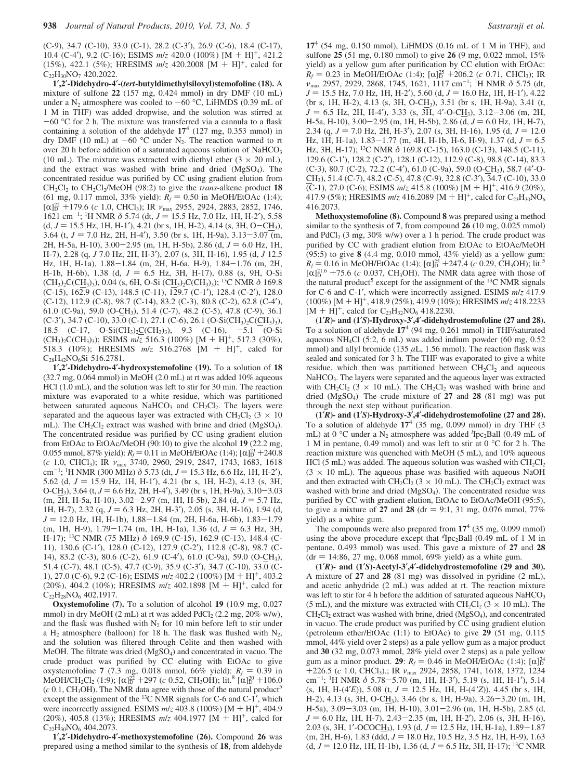(C-9), 34.7 (C-10), 33.0 (C-1), 28.2 (C-3′), 26.9 (C-6), 18.4 (C-17), 10.4 (C-4′), 9.2 (C-16); ESIMS *<sup>m</sup>*/*<sup>z</sup>* 420.0 (100%) [M + H]+, 421.2 (15%), 422.1 (5%); HRESIMS *<sup>m</sup>*/*<sup>z</sup>* 420.2008 [M + H]+, calcd for  $C_{22}H_{30}NO_7$  420.2022.

**1**′**,2**′**-Didehydro-4**′**-(***tert***-butyldimethylsiloxyl)stemofoline (18).** A mixture of sulfone **22** (157 mg, 0.424 mmol) in dry DMF (10 mL) under a  $N_2$  atmosphere was cooled to  $-60$  °C, LiHMDS (0.39 mL of 1 M in THF) was added dropwise, and the solution was stirred at  $-60$  °C for 2 h. The mixture was transferred via a cannula to a flask containing a solution of the aldehyde **17**<sup>4</sup> (127 mg, 0.353 mmol) in dry DMF (10 mL) at  $-60$  °C under N<sub>2</sub>. The reaction warmed to rt over 20 h before addition of a saturated aqueous solution of NaHCO<sub>3</sub> (10 mL). The mixture was extracted with diethyl ether  $(3 \times 20 \text{ mL})$ , and the extract was washed with brine and dried (MgSO4). The concentrated residue was purified by CC using gradient elution from CH2Cl2 to CH2Cl2/MeOH (98:2) to give the *trans*-alkene product **18** (61 mg, 0.117 mmol, 33% yield):  $R_f = 0.50$  in MeOH/EtOAc (1:4);  $\left[\alpha\right]_D^{22}$  +179.6 (*c* 1.0, CHCl<sub>3</sub>); IR *ν*<sub>max</sub> 2955, 2924, 2883, 2852, 1746, 1621 cm<sup>-1, 1</sup>H NMR δ 5.74 (dt  $I = 15.5$  Hz 7.0 Hz 1H H-2<sup>7</sup>), 5.58 1621 cm<sup>-1</sup>; <sup>1</sup>H NMR  $\delta$  5.74 (dt, *J* = 15.5 Hz, 7.0 Hz, 1H, H-2'), 5.58<br>(d, *J* = 15.5 Hz, 1H, H-1'), 4.21 (br, s, 1H, H-2), 4.14 (s, 3H, O-CH<sub>2</sub>)  $(d, J = 15.5 \text{ Hz}, 1\text{H}, \text{H-1}'), 4.21 \text{ (br s, 1H, H-2)}, 4.14 \text{ (s, 3H, O-CH<sub>3</sub>)}$ 3.64 (t,  $J = 7.0$  Hz, 2H, H-4'), 3.50 (br s, 1H, H-9a), 3.13–3.07 (m, 2H, H-5a, H-10), 3.00-2.95 (m, 1H, H-5b), 2.86 (d,  $J = 6.0$  Hz, 1H, H-7), 2.28 (q, *J* 7.0 Hz, 2H, H-3′), 2.07 (s, 3H, H-16), 1.95 (d, *J* 12.5 Hz, 1H, H-1a), 1.88-1.84 (m, 2H, H-6a, H-9), 1.84-1.76 (m, 2H, H-1b, H-6b), 1.38 (d,  $J = 6.5$  Hz, 3H, H-17), 0.88 (s, 9H, O-Si (CH3)2C(CH3)3), 0.04 (s, 6H, O-Si (CH3)2C(CH3)3); 13C NMR *δ* 169.8 (C-15), 162.9 (C-13), 148.5 (C-11), 129.7 (C-1′), 128.4 (C-2′), 128.0 (C-12), 112.9 (C-8), 98.7 (C-14), 83.2 (C-3), 80.8 (C-2), 62.8 (C-4′), 61.0 (C-9a), 59.0 (O-CH3), 51.4 (C-7), 48.2 (C-5), 47.8 (C-9), 36.1  $(C-3')$ , 34.7  $(C-10)$ , 33.0  $(C-1)$ , 27.1  $(C-6)$ , 26.1  $(O-Si(CH_3)_2C(CH_3)_3)$ , 18.5 (C-17, O-Si(CH<sub>3</sub>)<sub>2</sub>C(CH<sub>3</sub>)<sub>3</sub>), 9.3 (C-16), -5.1 (O-Si (CH<sub>3</sub>)<sub>2</sub>C(CH<sub>3</sub>)<sub>3</sub>); ESIMS  $m/z$  516.3 (100%) [M + H]<sup>+</sup>, 517.3 (30%), 518.3 (10%); HRESIMS *<sup>m</sup>*/*<sup>z</sup>* 516.2768 [M + H]+, calcd for C<sub>28</sub>H<sub>42</sub>NO<sub>6</sub>Si 516.2781.

**1**′**,2**′**-Didehydro-4**′**-hydroxystemofoline (19).** To a solution of **18** (32.7 mg, 0.064 mmol) in MeOH (2.0 mL) at rt was added 10% aqueous HCl (1.0 mL), and the solution was left to stir for 30 min. The reaction mixture was evaporated to a white residue, which was partitioned between saturated aqueous NaHCO<sub>3</sub> and CH<sub>2</sub>Cl<sub>2</sub>. The layers were separated and the aqueous layer was extracted with  $CH_2Cl_2$  (3  $\times$  10 mL). The CH<sub>2</sub>Cl<sub>2</sub> extract was washed with brine and dried (MgSO<sub>4</sub>). The concentrated residue was purified by CC using gradient elution from EtOAc to EtOAc/MeOH (90:10) to give the alcohol **19** (22.2 mg, 0.055 mmol, 87% yield):  $R_f = 0.11$  in MeOH/EtOAc (1:4);  $[\alpha]_0^{23} + 240.8$ <br>(c 1.0 CHCla): IR  $\nu$  3740 2960 2919 2847 1743 1683 1618 (*c* 1.0, CHCl3); IR *ν*max 3740, 2960, 2919, 2847, 1743, 1683, 1618 cm<sup>-1</sup>; <sup>1</sup>H NMR (300 MHz)  $\delta$  5.73 (dt,  $J = 15.3$  Hz, 6.6 Hz, 1H, H-2<sup>'</sup>), 5.62 (d,  $J = 15.9$  Hz, 1H, H-1<sup>'</sup>), 4.21 (br s, 1H, H-2), 4.13 (s, 3H 5.62 (d,  $J = 15.9$  Hz, 1H, H-1'), 4.21 (br s, 1H, H-2), 4.13 (s, 3H, O-CH<sub>3</sub>), 3.64 (t,  $J = 6.6$  Hz, 2H, H-4'), 3.49 (br s, 1H, H-9a), 3.10-3.03  $(m, 2H, H-5a, H-10), 3.02-2.97$  (m, 1H, H-5b), 2.84 (d,  $J = 5.7$  Hz, 1H, H-7), 2.32 (q,  $J = 6.3$  Hz, 2H, H-3'), 2.05 (s, 3H, H-16), 1.94 (d,  $J = 12.0$  Hz, 1H, H-1b),  $1.88 - 1.84$  (m, 2H, H-6a, H-6b),  $1.83 - 1.79$  $(m, 1H, H-9), 1.79-1.74$   $(m, 1H, H-1a), 1.36$   $(d, J = 6.3$  Hz, 3H, H-17); 13C NMR (75 MHz) *δ* 169.9 (C-15), 162.9 (C-13), 148.4 (C-11), 130.6 (C-1′), 128.0 (C-12), 127.9 (C-2′), 112.8 (C-8), 98.7 (C-14), 83.2 (C-3), 80.6 (C-2), 61.9 (C-4′), 61.0 (C-9a), 59.0 (O-CH3), 51.4 (C-7), 48.1 (C-5), 47.7 (C-9), 35.9 (C-3′), 34.7 (C-10), 33.0 (C-1), 27.0 (C-6), 9.2 (C-16); ESIMS *<sup>m</sup>*/*<sup>z</sup>* 402.2 (100%) [M <sup>+</sup> H]+, 403.2 (20%), 404.2 (10%); HRESIMS *<sup>m</sup>*/*<sup>z</sup>* 402.1898 [M + H]+, calcd for  $C_{22}H_{28}NO_6$  402.1917.

**Oxystemofoline (7).** To a solution of alcohol **19** (10.9 mg, 0.027 mmol) in dry MeOH (2 mL) at rt was added PdCl<sub>2</sub> (2.2 mg, 20% w/w), and the flask was flushed with  $N_2$  for 10 min before left to stir under a H<sub>2</sub> atmosphere (balloon) for 18 h. The flask was flushed with  $N_2$ , and the solution was filtered through Celite and then washed with MeOH. The filtrate was dried  $(MgSO<sub>4</sub>)$  and concentrated in vacuo. The crude product was purified by CC eluting with EtOAc to give oxystemofoline **7** (7.3 mg, 0.018 mmol, 66% yield):  $R_f = 0.39$  in<br>MeOH/CH<sub>2</sub>CL<sub>2</sub> (1.9):  $[\alpha]^2$  +297 (c 0.52 CH<sub>2</sub>OH):  $[\alpha]^8$  [ $\alpha$ <sup>120</sup> +106 0 MeOH/CH<sub>2</sub>Cl<sub>2</sub> (1:9);  $[\alpha]_D^{25} + 297$  (*c* 0.52, CH<sub>3</sub>OH); lit.<sup>8</sup>  $[\alpha]_0^{20} + 106.0$ <br>(*c* 0.1 CH<sub>2</sub>OH). The NMR data agree with those of the natural product<sup>5</sup>  $(c 0.1, CH<sub>3</sub>OH)$ . The NMR data agree with those of the natural product<sup>2</sup> except the assignment of the <sup>13</sup>C NMR signals for C-6 and C-1<sup>'</sup>, which were incorrectly assigned. ESIMS  $m/z$  403.8 (100%) [M + H]<sup>+</sup>, 404.9 (20%), 405.8 (13%); HRESIMS *<sup>m</sup>*/*<sup>z</sup>* 404.1977 [M <sup>+</sup> H]+, calcd for  $C_{22}H_{30}NO_6$  404.2073.

**1**′**,2**′**-Didehydro-4**′**-methoxystemofoline (26).** Compound **26** was prepared using a method similar to the synthesis of **18**, from aldehyde **17**<sup>4</sup> (54 mg, 0.150 mmol), LiHMDS (0.16 mL of 1 M in THF), and sulfone **25** (51 mg, 0.180 mmol) to give **26** (9 mg, 0.022 mmol, 15% yield) as a yellow gum after purification by CC elution with EtOAc:  $R_f = 0.23$  in MeOH/EtOAc (1:4);  $[\alpha]_D^{25} + 206.2$  (*c* 0.71, CHCl<sub>3</sub>); IR<br>
2057 2029 2868 1745 1621 1117 cm<sup>-1, 1</sup>H NMR  $\delta$  5.75 (dt *ν*<sub>max</sub> 2957, 2929, 2868, 1745, 1621, 1117 cm<sup>-1</sup>; <sup>1</sup>H NMR δ 5.75 (dt, *J* = 15.5 Hz, 7.0 Hz, 1H, H-2'), 5.60 (d, *J* = 16.0 Hz, 1H, H-1'), 4.22 (br s, 1H, H-2), 4.13 (s, 3H, O-CH3), 3.51 (br s, 1H, H-9a), 3.41 (t,  $J = 6.5$  Hz, 2H, H-4'), 3.33 (s,  $3\overline{H}$ , 4'-O-CH<sub>3</sub>), 3.12-3.06 (m, 2H, H-5a, H-10), 3.00–2.95 (m, 1H, H-5b), 2.86 (d,  $J = 6.0$  Hz, 1H, H-7), 2.34 (q,  $J = 7.0$  Hz, 2H, H-3'), 2.07 (s, 3H, H-16), 1.95 (d,  $J = 12.0$ Hz, 1H, H-1a),  $1.83 - 1.77$  (m, 4H, H-1b, H-6, H-9),  $1.37$  (d,  $J = 6.5$ Hz, 3H, H-17); 13C NMR *δ* 169.8 (C-15), 163.0 (C-13), 148.5 (C-11), 129.6 (C-1′), 128.2 (C-2′), 128.1 (C-12), 112.9 (C-8), 98.8 (C-14), 83.3 (C-3), 80.7 (C-2), 72.2 (C-4′), 61.0 (C-9a), 59.0 (O-CH3), 58.7 (4′-O-CH3), 51.4 (C-7), 48.2 (C-5), 47.8 (C-9), 32.8 (C-3′), 34.7 (C-10), 33.0  $(C-1)$ , 27.0 (C-6); ESIMS  $m/z$  415.8 (100%) [M + H]<sup>+</sup>, 416.9 (20%), 417.9 (5%); HRESIMS  $m/z$  416.2089 [M + H]<sup>+</sup>, calcd for C<sub>23</sub>H<sub>30</sub>NO<sub>6</sub> 416.2073.

**Methoxystemofoline (8).** Compound **8** was prepared using a method similar to the synthesis of **7**, from compound **26** (10 mg, 0.025 mmol) and  $PdCl_2$  (3 mg, 30% w/w) over a 1 h period. The crude product was purified by CC with gradient elution from EtOAc to EtOAc/MeOH (95:5) to give **8** (4.4 mg, 0.010 mmol, 43% yield) as a yellow gum:  $R_f = 0.16$  in MeOH/EtOAc (1:4);  $[\alpha]_D^{25} + 247.4$  (*c* 0.29, CH<sub>3</sub>OH); lit.<sup>5</sup><br> $[\alpha]_R^{21.6} + 75.6$  (*c* 0.037, CH<sub>2</sub>OH). The NMR data agree with those of  $\left[\alpha\right]_{\text{D}}^{21.6}$  +75.6 (*c* 0.037, CH<sub>3</sub>OH). The NMR data agree with those of the natural product<sup>5</sup> except for the assignment of the <sup>13</sup>C NMR signals the natural product<sup>5</sup> except for the assignment of the  $^{13}$ C NMR signals for C-6 and C-1′, which were incorrectly assigned. ESIMS *m*/*z* 417.9 (100%) [M + H]+, 418.9 (25%), 419.9 (10%); HRESIMS *<sup>m</sup>*/*<sup>z</sup>* 418.2233  $[M + H]$ <sup>+</sup>, calcd for C<sub>23</sub>H<sub>32</sub>NO<sub>6</sub> 418.2230.

**(1**′*R***)- and (1**′*S***)-Hydroxy-3**′**,4**′**-didehydrostemofoline (27 and 28).** To a solution of aldehyde **17**<sup>4</sup> (94 mg, 0.261 mmol) in THF/saturated aqueous NH4Cl (5:2, 6 mL) was added indium powder (60 mg, 0.52 mmol) and allyl bromide (135  $\mu$ L, 1.56 mmol). The reaction flask was sealed and sonicated for 3 h. The THF was evaporated to give a white residue, which then was partitioned between  $CH_2Cl_2$  and aqueous NaHCO<sub>3</sub>. The layers were separated and the aqueous layer was extracted with  $CH_2Cl_2$  (3 × 10 mL). The  $CH_2Cl_2$  was washed with brine and dried (MgSO4). The crude mixture of **27** and **28** (81 mg) was put through the next step without purification.

**(1**′*R***)- and (1**′*S***)-Hydroxy-3**′**,4**′**-didehydrostemofoline (27 and 28).** To a solution of aldehyde **17**<sup>4</sup> (35 mg, 0.099 mmol) in dry THF (3 mL) at 0 °C under a N<sub>2</sub> atmosphere was added <sup>*l*</sup>Ipc<sub>2</sub>Ball (0.49 mL of 1 M in pentane, 0.49 mmol) and was left to stir at 0 °C for 2 h. The reaction mixture was quenched with MeOH (5 mL), and 10% aqueous HCl (5 mL) was added. The aqueous solution was washed with  $CH_2Cl_2$  $(3 \times 10 \text{ mL})$ . The aqueous phase was basified with aqueous NaOH and then extracted with  $CH_2Cl_2$  (3  $\times$  10 mL). The CH<sub>2</sub>Cl<sub>2</sub> extract was washed with brine and dried (MgSO<sub>4</sub>). The concentrated residue was purified by CC with gradient elution, EtOAc to EtOAc/MeOH (95:5), to give a mixture of **27** and **28** (dr = 9:1, 31 mg, 0.076 mmol, 77%) yield) as a white gum.

The compounds were also prepared from **17**<sup>4</sup> (35 mg, 0.099 mmol) using the above procedure except that <sup>*d*</sup>Ipc<sub>2</sub>Ball (0.49 mL of 1 M in pentane, 0.493 mmol) was used. This gave a mixture of **27** and **28**  $(\text{dr} = 14:86, 27 \text{ mg}, 0.068 \text{ mmol}, 69\% \text{ yield})$  as a white gum.

**(1**′*R***)- and (1**′*S***)-Acetyl-3**′**,4**′**-didehydrostemofoline (29 and 30).** A mixture of **27** and **28** (81 mg) was dissolved in pyridine (2 mL), and acetic anhydride (2 mL) was added at rt. The reaction mixture was left to stir for 4 h before the addition of saturated aqueous  $NAHCO<sub>3</sub>$ (5 mL), and the mixture was extracted with  $CH_2Cl_2$  (3  $\times$  10 mL). The CH2Cl2 extract was washed with brine, dried (MgSO4), and concentrated in vacuo. The crude product was purified by CC using gradient elution (petroleum ether/EtOAc (1:1) to EtOAc) to give **29** (51 mg, 0.115 mmol, 44% yield over 2 steps) as a pale yellow gum as a major product and **30** (32 mg, 0.073 mmol, 28% yield over 2 steps) as a pale yellow gum as a minor product. **29**:  $R_f = 0.46$  in MeOH/EtOAc (1:4);  $[\alpha]_0^{24}$ <br>+226.5 (c.1.0. CHCl<sub>2</sub>) · IR  $\nu_{\text{max}}$ , 2924. 2858. 1741. 1618. 1372. 1234. <sup>+</sup>226.5 (*<sup>c</sup>* 1.0, CHCl3).; IR *<sup>ν</sup>*max 2924, 2858, 1741, 1618, 1372, 1234 cm<sup>-1</sup>; <sup>1</sup>H NMR  $\delta$  5.78-5.70 (m, 1H, H-3'), 5.19 (s, 1H, H-1'), 5.14<br>(s, 1H, H-(4'F)), 5.08 (t,  $I = 12.5$  Hz, 1H, H-(4'Z)), 4.45 (br, s, 1H (s, 1H, H-(4'*E*)), 5.08 (t,  $J = 12.5$  Hz, 1H, H-(4'*Z*)), 4.45 (br s, 1H, H-2), 4.13 (s, 3H, O-CH3), 3.46 (br s, 1H, H-9a), 3.26-3.20 (m, 1H, H-5a), 3.09-3.03 (m, 1H, H-10), 3.01-2.96 (m, 1H, H-5b), 2.85 (d,  $J = 6.0$  Hz, 1H, H-7), 2.43-2.35 (m, 1H, H-2'), 2.06 (s, 3H, H-16), 2.03 (s, 3H, 1'-OCOCH<sub>3</sub>), 1.93 (d,  $J = 12.5$  Hz, 1H, H-1a), 1.89-1.87  $(m, 2H, H-6)$ , 1.83 (ddd,  $J = 18.0$  Hz, 10.5 Hz, 3.5 Hz, 1H, H-9), 1.63  $(d, J = 12.0$  Hz, 1H, H-1b), 1.36  $(d, J = 6.5$  Hz, 3H, H-17); <sup>13</sup>C NMR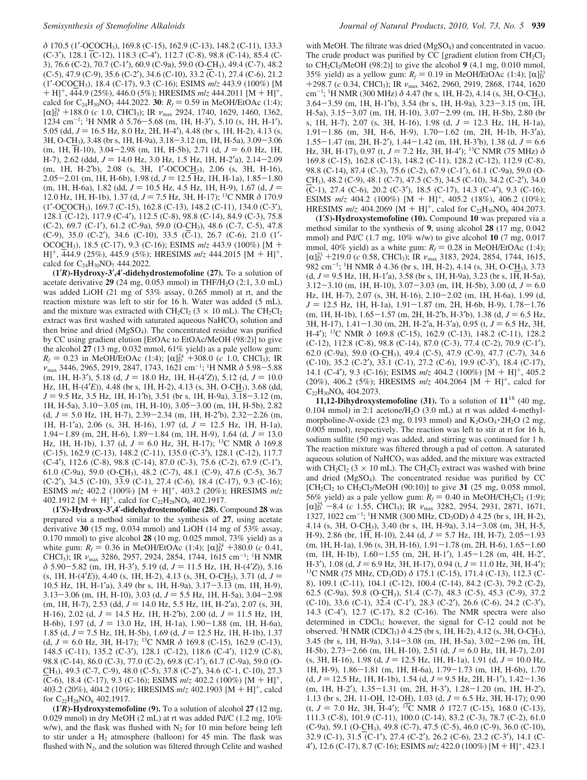*δ* 170.5 (1′-OCOCH3), 169.8 (C-15), 162.9 (C-13), 148.2 (C-11), 133.3 (C-3′), 128.1 (C-12), 118.3 (C-4′), 112.7 (C-8), 98.8 (C-14), 85.4 (C-3), 76.6 (C-2), 70.7 (C-1′), 60.9 (C-9a), 59.0 (O-CH3), 49.4 (C-7), 48.2 (C-5), 47.9 (C-9), 35.6 (C-2′), 34.6 (C-10), 33.2 (C-1), 27.4 (C-6), 21.2 (1′-OCOCH3), 18.4 (C-17), 9.3 (C-16); ESIMS *m*/*z* 443.9 (100%) [M + H]+, 444.9 (25%), 446.0 (5%); HRESIMS *<sup>m</sup>*/*<sup>z</sup>* 444.2011 [M + H]+, calcd for C<sub>24</sub>H<sub>30</sub>NO<sub>7</sub> 444.2022. **30**:  $R_f = 0.59$  in MeOH/EtOAc (1:4); [α]<sup>24</sup> +188.0 (*c* 1.0, CHCl<sub>3</sub>); IR *ν*<sub>max</sub> 2924, 1740, 1629, 1460, 1362, 1234 cm<sup>-1, 1</sup>H NMR δ 5 76–5 68 (m 1H H-3<sup>2</sup>), 5 10 (s 1H H-1<sup>2</sup>) 1234 cm<sup>-1</sup>; <sup>1</sup>H NMR  $\delta$  5.76-5.68 (m, 1H, H-3'), 5.10 (s, 1H, H-1'), 5.05 (dd,  $I = 16.5$  Hz, 8.0 Hz, 2H, H-4'), 4.48 (br s, 1H, H-2), 4.13 (s 5.05 (dd,  $J = 16.5$  Hz, 8.0 Hz, 2H, H-4'), 4.48 (br s, 1H, H-2), 4.13 (s, 3H, O-CH3), 3.48 (br s, 1H, H-9a), 3.18-3.12 (m, 1H, H-5a), 3.09-3.06 (m, 1H, H-10), 3.04-2.98 (m, 1H, H-5b), 2.71 (d,  $J = 6.0$  Hz, 1H, H-7), 2.62 (ddd,  $J = 14.0$  Hz, 3.0 Hz, 1.5 Hz, 1H, H-2'a), 2.14-2.09 (m, 1H, H-2′b), 2.08 (s, 3H, 1′-OCOCH3), 2.06 (s, 3H, H-16), 2.05-2.01 (m, 1H, H-6b), 1.98 (d,  $J = 12.5$  Hz, 1H, H-1a), 1.85-1.80 (m, 1H, H-6a), 1.82 (dd,  $J = 10.5$  Hz, 4.5 Hz, 1H, H-9), 1.67 (d,  $J =$ 12.0 Hz, 1H, H-1b), 1.37 (d, J = 7.5 Hz, 3H, H-17); <sup>13</sup>C NMR δ 170.9 (1′-OCOCH3), 169.7 (C-15), 162.8 (C-13), 148.2 (C-11), 134.0 (C-3′), 128.1 (C-12), 117.9 (C-4′), 112.5 (C-8), 98.8 (C-14), 84.9 (C-3), 75.8 (C-2), 69.7 (C-1′), 61.2 (C-9a), 59.0 (O-CH3), 48.6 (C-7, C-5), 47.8 (C-9), 35.0 (C-2′), 34.6 (C-10), 33.5 (C-1), 26.7 (C-6), 21.0 (1′- OCOCH3), 18.5 (C-17), 9.3 (C-16); ESIMS *<sup>m</sup>*/*<sup>z</sup>* 443.9 (100%) [M + H]+, 444.9 (25%), 445.9 (5%); HRESIMS *<sup>m</sup>*/*<sup>z</sup>* 444.2015 [M + H]+, calcd for  $C_{24}H_{30}NO_7$  444.2022.

**(1**′*R***)-Hydroxy-3**′**,4**′**-didehydrostemofoline (27).** To a solution of acetate derivative **29** (24 mg, 0.053 mmol) in THF/H<sub>2</sub>O (2:1, 3.0 mL) was added LiOH (21 mg of 53% assay, 0.265 mmol) at rt, and the reaction mixture was left to stir for 16 h. Water was added (5 mL), and the mixture was extracted with  $CH_2Cl_2$  (3 × 10 mL). The  $CH_2Cl_2$ extract was first washed with saturated aqueous  $NaHCO<sub>3</sub>$  solution and then brine and dried (MgSO4). The concentrated residue was purified by CC using gradient elution [EtOAc to EtOAc/MeOH (98:2)] to give the alcohol **27** (13 mg, 0.032 mmol, 61% yield) as a pale yellow gum:  $R_f = 0.23$  in MeOH/EtOAc (1:4);  $[\alpha]_D^{24} + 308.0$  (*c* 1.0, CHCl<sub>3</sub>); IR<br>  $\alpha$  3446 2965 2919 2847 1743 1621 cm<sup>-1, 1</sup>H NMR  $\delta$  5.98 - 5.88 *ν*<sub>max</sub> 3446, 2965, 2919, 2847, 1743, 1621 cm<sup>-1</sup>; <sup>1</sup>H NMR δ 5.98-5.88<br>(m) 1H H-3<sup>2</sup>) 5.18 (d) *I* = 18.0 Hz, 1H H-(4'7)) 5.12 (d) *I* = 10.0  $(m, 1H, H-3')$ , 5.18 (d,  $J = 18.0$  Hz, 1H, H-(4<sup>'</sup>Z)), 5.12 (d,  $J = 10.0$ Hz, 1H, H-(4′*E*)), 4.48 (br s, 1H, H-2), 4.13 (s, 3H, O-CH3), 3.68 (dd, *J* = 9.5 Hz, 3.5 Hz, 1H, H-1<sup>'</sup>b), 3.51 (br s, 1H, H-9a), 3.18–3.12 (m, 1H, H-5a), 3.10-3.05 (m, 1H, H-10), 3.05-3.00 (m, 1H, H-5b), 2.82  $(d, J = 5.0$  Hz, 1H, H-7), 2.39–2.34 (m, 1H, H-2<sup>'</sup>b), 2.32–2.26 (m, 1H, H-1'a), 2.06 (s, 3H, H-16), 1.97 (d,  $J = 12.5$  Hz, 1H, H-1a),  $1.94-1.89$  (m, 2H, H-6),  $1.89-1.84$  (m, 1H, H-9),  $1.64$  (d,  $J = 13.0$ Hz, 1H, H-1b), 1.37 (d,  $J = 6.0$  Hz, 3H, H-17); <sup>13</sup>C NMR  $\delta$  169.8 (C-15), 162.9 (C-13), 148.2 (C-11), 135.0 (C-3′), 128.1 (C-12), 117.7 (C-4′), 112.6 (C-8), 98.8 (C-14), 87.0 (C-3), 75.6 (C-2), 67.9 (C-1′), 61.0 (C-9a), 59.0 (O-CH3), 48.2 (C-7), 48.1 (C-9), 47.6 (C-5), 36.7 (C-2′), 34.5 (C-10), 33.9 (C-1), 27.4 (C-6), 18.4 (C-17), 9.3 (C-16); ESIMS  $m/z$  402.2 (100%) [M + H]<sup>+</sup>, 403.2 (20%); HRESIMS  $m/z$ 402.1912 [M + H]<sup>+</sup>, calcd for  $C_{22}H_{28}NO_6$  402.1917.

**(1**′*S***)-Hydroxy-3**′**,4**′**-didehydrostemofoline (28).** Compound **28** was prepared via a method similar to the synthesis of **27**, using acetate derivative **30** (15 mg, 0.034 mmol) and LiOH (14 mg of 53% assay, 0.170 mmol) to give alcohol **28** (10 mg, 0.025 mmol, 73% yield) as a white gum:  $R_f = 0.36$  in MeOH/EtOAc (1:4);  $[\alpha]_0^{24} + 380.0$  (*c* 0.41, CHCl<sub>2</sub>): IR  $\nu_{\text{max}}$  3286 2957 2924 2854 1744 1615 cm<sup>-1, 1</sup>H NMR CHCl<sub>3</sub>); IR  $\nu_{\text{max}}$  3286, 2957, 2924, 2854, 1744, 1615 cm<sup>-1</sup>; <sup>1</sup>H NMR *<sup>δ</sup>* 5.90-5.82 (m, 1H, H-3′), 5.19 (d, *<sup>J</sup>* ) 11.5 Hz, 1H, H-(4′*Z*)), 5.16 (s, 1H, H-(4'*E*)), 4.40 (s, 1H, H-2), 4.13 (s, 3H, O-CH<sub>3</sub>), 3.71 (d,  $J =$ 10.5 Hz, 1H, H-1′a), 3.49 (br s, 1H, H-9a), 3.17-3.13 (m, 1H, H-9),  $3.13-3.06$  (m, 1H, H-10),  $3.03$  (d,  $J = 5.5$  Hz, 1H, H-5a),  $3.04-2.98$ (m, 1H, H-7), 2.53 (dd,  $J = 14.0$  Hz, 5.5 Hz, 1H, H-2<sup>'</sup>a), 2.07 (s, 3H, H-16), 2.02 (d,  $J = 14.5$  Hz, 1H, H-2<sup>'</sup>b), 2.00 (d,  $J = 11.5$  Hz, 1H, H-6b), 1.97 (d,  $J = 13.0$  Hz, 1H, H-1a), 1.90-1.88 (m, 1H, H-6a), 1.85 (d,  $J = 7.5$  Hz, 1H, H-5b), 1.69 (d,  $J = 12.5$  Hz, 1H, H-1b), 1.37 (d,  $J = 6.0$  Hz, 3H, H-17); <sup>13</sup>C NMR  $\delta$  169.8 (C-15), 162.9 (C-13), 148.5 (C-11), 135.2 (C-3′), 128.1 (C-12), 118.6 (C-4′), 112.9 (C-8), 98.8 (C-14), 86.0 (C-3), 77.0 (C-2), 69.8 (C-1′), 61.7 (C-9a), 59.0 (O-CH3), 49.3 (C-7, C-9), 48.0 (C-5), 37.8 (C-2′), 34.6 (C-1, C-10), 27.3 (C-6), 18.4 (C-17), 9.3 (C-16); ESIMS *<sup>m</sup>*/*<sup>z</sup>* 402.2 (100%) [M + H]+, 403.2 (20%), 404.2 (10%); HRESIMS *<sup>m</sup>*/*<sup>z</sup>* 402.1903 [M <sup>+</sup> H]+, calcd for C<sub>22</sub>H<sub>28</sub>NO<sub>6</sub> 402.1917.

**(1**′*R***)-Hydroxystemofoline (9).** To a solution of alcohol **27** (12 mg, 0.029 mmol) in dry MeOH (2 mL) at rt was added Pd/C (1.2 mg, 10% w/w), and the flask was flushed with  $N_2$  for 10 min before being left to stir under a  $H_2$  atmosphere (balloon) for 45 min. The flask was flushed with  $N_2$ , and the solution was filtered through Celite and washed with MeOH. The filtrate was dried (MgSO<sub>4</sub>) and concentrated in vacuo. The crude product was purified by CC [gradient elution from  $CH_2Cl_2$ to CH<sub>2</sub>Cl<sub>2</sub>/MeOH (98:2)] to give the alcohol 9 (4.1 mg, 0.010 mmol, 35% yield) as a yellow gum:  $R_f = 0.19$  in MeOH/EtOAc (1:4);  $[\alpha]_0^{23}$ <br>+298.7 (c 0.34 CHCl); IR  $\nu$  3462 2960 2919 2868 1744 1620 <sup>+</sup>298.7 (*<sup>c</sup>* 0.34, CHCl3); IR *<sup>ν</sup>*max 3462, 2960, 2919, 2868, 1744, 1620 cm<sup>-1</sup>; <sup>1</sup>H NMR (300 MHz) δ 4.47 (br s, 1H, H-2), 4.14 (s, 3H, O-C<u>H</u><sub>3</sub>), 3.64-3.59 (m, 1H, H-1′b), 3.54 (br s, 1H, H-9a), 3.23-3.15 (m, 1H, H-5a), 3.15-3.07 (m, 1H, H-10), 3.07-2.99 (m, 1H, H-5b), 2.80 (br s, 1H, H-7), 2.07 (s, 3H, H-16), 1.98 (d,  $J = 12.3$  Hz, 1H, H-1a), 1.91-1.86 (m, 3H, H-6, H-9), 1.70-1.62 (m, 2H, H-1b, H-3′a), 1.55-1.47 (m, 2H, H-2'), 1.44-1.42 (m, 1H, H-3'b), 1.38 (d,  $J = 6.6$ Hz, 3H, H-17), 0.97 (t,  $J = 7.2$  Hz, 3H, H-4'); <sup>13</sup>C NMR (75 MHz)  $\delta$ 169.8 (C-15), 162.8 (C-13), 148.2 (C-11), 128.2 (C-12), 112.9 (C-8), 98.8 (C-14), 87.4 (C-3), 75.6 (C-2), 67.9 (C-1′), 61.1 (C-9a), 59.0 (O-CH3), 48.2 (C-9), 48.1 (C-7), 47.5 (C-5), 34.5 (C-10), 34.2 (C-2′), 34.0 (C-1), 27.4 (C-6), 20.2 (C-3′), 18.5 (C-17), 14.3 (C-4′), 9.3 (C-16); ESIMS  $m/z$  404.2 (100%) [M + H]<sup>+</sup>, 405.2 (18%), 406.2 (10%); HRESIMS  $m/z$  404.2069 [M + H]<sup>+</sup>, calcd for C<sub>22</sub>H<sub>30</sub>NO<sub>6</sub> 404.2073.

**(1**′*S***)-Hydroxystemofoline (10).** Compound **10** was prepared via a method similar to the synthesis of **9**, using alcohol **28** (17 mg, 0.042 mmol) and Pd/C (1.7 mg, 10% w/w) to give alcohol **10** (7 mg, 0.017 mmol, 40% yield) as a white gum:  $R_f = 0.28$  in MeOH/EtOAc (1:4); [α]<sup>23</sup> +219.0 (*c* 0.58, CHCl<sub>3</sub>); IR *ν*<sub>max</sub> 3183, 2924, 2854, 1744, 1615, 482<br>982 cm<sup>-1, 1</sup>H NMR δ 4 36 (br s 1H H-2) 4 14 (s 3H O-CH<sub>2</sub>) 3 73 982 cm<sup>-1</sup>; <sup>1</sup>H NMR δ 4.36 (br s, 1H, H-2), 4.14 (s, 3H, O-CH<sub>3</sub>), 3.73  $(d, J = 9.5 \text{ Hz}, 1H, H-1'a), 3.58 \text{ (br s, 1H, H-9a), 3.23 \text{ (br s, 1H, H-5a)},$  $3.12 - 3.10$  (m, 1H, H-10),  $3.07 - 3.03$  (m, 1H, H-5b),  $3.00$  (d,  $J = 6.0$ Hz, 1H, H-7), 2.07 (s, 3H, H-16), 2.10-2.02 (m, 1H, H-6a), 1.99 (d, *J* = 12.5 Hz, 1H, H-1a), 1.91-1.87 (m, 2H, H-6b, H-9), 1.78-1.76  $(m, 1H, H-1b), 1.65-1.57$   $(m, 2H, H-2'b, H-3'b), 1.38$   $(d, J = 6.5$  Hz, 3H, H-17), 1.41-1.30 (m, 2H, H-2'a, H-3'a), 0.95 (t,  $J = 6.5$  Hz, 3H, H-4′); 13C NMR *δ* 169.8 (C-15), 162.9 (C-13), 148.2 (C-11), 128.2 (C-12), 112.8 (C-8), 98.8 (C-14), 87.0 (C-3), 77.4 (C-2), 70.9 (C-1′), 62.0 (C-9a), 59.0 (O-CH3), 49.4 (C-5), 47.9 (C-9), 47.7 (C-7), 34.6 (C-10), 35.2 (C-2′), 33.1 (C-1), 27.2 (C-6), 19.9 (C-3′), 18.4 (C-17), 14.1 (C-4′), 9.3 (C-16); ESIMS *<sup>m</sup>*/*<sup>z</sup>* 404.2 (100%) [M + H]+, 405.2 (20%), 406.2 (5%); HRESIMS *<sup>m</sup>*/*<sup>z</sup>* 404.2064 [M + H]+, calcd for  $C_{22}H_{30}NO_6$  404.2073.

**11,12-Dihydroxystemofoline (31).** To a solution of **11**<sup>18</sup> (40 mg, 0.104 mmol) in 2:1 acetone/ $H_2O$  (3.0 mL) at rt was added 4-methylmorpholine-*N*-oxide (23 mg, 0.193 mmol) and  $K_2OsO_4 \cdot 2H_2O$  (2 mg, 0.005 mmol), respectively. The reaction was left to stir at rt for 16 h, sodium sulfite (50 mg) was added, and stirring was continued for 1 h. The reaction mixture was filtered through a pad of cotton. A saturated aqueous solution of  $NaHCO<sub>3</sub>$  was added, and the mixture was extracted with  $CH_2Cl_2$  (3 × 10 mL). The  $CH_2Cl_2$  extract was washed with brine and dried  $(MgSO<sub>4</sub>)$ . The concentrated residue was purified by CC  $[CH_2Cl_2$  to  $CH_2Cl_2/MeOH$  (90:10)] to give 31 (25 mg, 0.058 mmol, 56% yield) as a pale yellow gum:  $R_f = 0.40$  in MeOH/CH<sub>2</sub>Cl<sub>2</sub> (1:9);  $[\alpha]_D^{25}$  -8.4 (*c* 1.55, CHCl<sub>3</sub>); IR  $\nu_{\text{max}}$  3282, 2954, 2931, 2871, 1671, 1571, 1571, 1571, 1571, 1571, 1571, 1571, 1571, 1571, 1571, 1571, 1571, 1571, 1571, 1571, 1571, 1571, 1571, 1571, 1571, 1571, 1571, 1571, 1 1327, 1022 cm<sup>-1</sup>; <sup>1</sup>H NMR (300 MHz, CD<sub>3</sub>OD)  $\delta$  4.25 (br s, 1H, H-2), 4.14 (s, 3H, O-CH3), 3.40 (br s, 1H, H-9a), 3.14-3.08 (m, 3H, H-5, H-9), 2.86 (br, 1H, H-10), 2.44 (d,  $J = 5.7$  Hz, 1H, H-7), 2.05-1.93 (m, 1H, H-1a), 1.96 (s, 3H, H-16), 1.91-1.78 (m, 2H, H-6), 1.65-1.60 (m, 1H, H-1b),  $1.60-1.55$  (m, 2H, H-1'),  $1.45-1.28$  (m, 4H, H-2', H-3'),  $1.08$  (d,  $J = 6.9$  Hz, 3H, H-17), 0.94 (t,  $J = 11.0$  Hz, 3H, H-4'); <sup>13</sup>C NMR (75 MHz, CD<sub>3</sub>OD)  $\delta$  175.1 (C-15), 171.4 (C-13), 112.3 (C-8), 109.1 (C-11), 104.1 (C-12), 100.4 (C-14), 84.2 (C-3), 79.2 (C-2), 62.5 (C-9a), 59.8 (O-CH3), 51.4 (C-7), 48.3 (C-5), 45.3 (C-9), 37.2 (C-10), 33.6 (C-1), 32.4 (C-1′), 28.3 (C-2′), 26.6 (C-6), 24.2 (C-3′), 14.3 (C-4′), 12.7 (C-17), 8.2 (C-16). The NMR spectra were also determined in CDCl<sub>3</sub>; however, the signal for C-12 could not be observed. <sup>1</sup>H NMR (CDCl<sub>3</sub>)  $\delta$  4.25 (br s, 1H, H-2), 4.12 (s, 3H, O-C<u>H</u><sub>3</sub>), 3.45 (br s, 1H, H-9a), 3.14-3.08 (m, 1H, H-5a), 3.02-2.96 (m, 1H, H-5b), 2.73-2.66 (m, 1H, H-10), 2.51 (d,  $J = 6.0$  Hz, 1H, H-7), 2.01 (s, 3H, H-16), 1.98 (d,  $J = 12.5$  Hz, 1H, H-1a), 1.91 (d,  $J = 10.0$  Hz, 1H, H-9), 1.86-1.81 (m, 1H, H-6a), 1.79-1.73 (m, 1H, H-6b), 1.70  $(d, J = 12.5$  Hz, 1H, H-1b), 1.54  $(d, J = 9.5$  Hz, 2H, H-1<sup>'</sup>), 1.42-1.36 (m, 1H, H-2′), 1.35-1.31 (m, 2H, H-3′), 1.28-1.20 (m, 1H, H-2′), 1.13 (br s, 2H, 11-OH, 12-OH), 1.03 (d, *<sup>J</sup>* ) 6.5 Hz, 3H, H-17); 0.90 (t, *<sup>J</sup>* ) 7.0 Hz, 3H, H-4′); 13C NMR *<sup>δ</sup>* 172.7 (C-15), 168.0 (C-13), 111.3 (C-8), 101.9 (C-11), 100.0 (C-14), 83.2 (C-3), 78.7 (C-2), 61.0 (C-9a), 59.1 (O-CH3), 49.8 (C-7), 47.5 (C-5), 46.0 (C-9), 36.0 (C-10), 32.9 (C-1), 31.5 (C-1′), 27.4 (C-2′), 26.2 (C-6), 23.2 (C-3′), 14.1 (C-<sup>4</sup>′), 12.6 (C-17), 8.7 (C-16); ESIMS *<sup>m</sup>*/*<sup>z</sup>* 422.0 (100%) [M <sup>+</sup> H]+, 423.1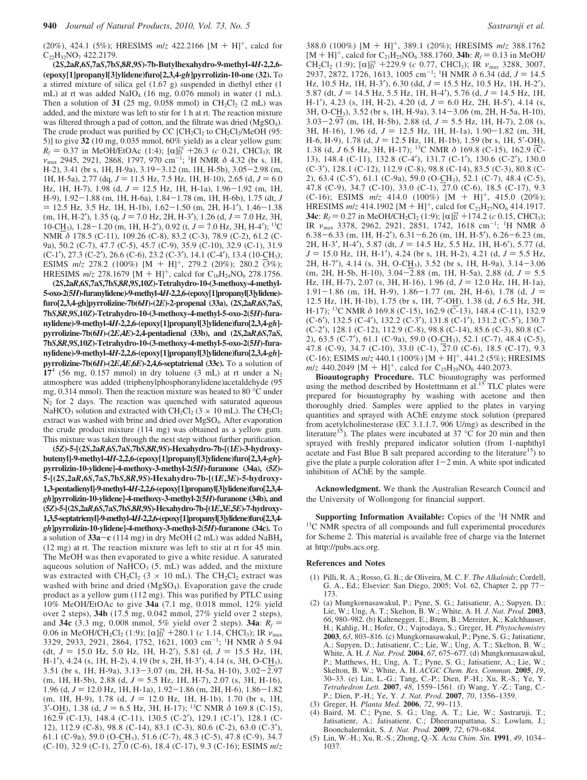(20%), 424.1 (5%); HRESIMS  $m/z$  422.2166 [M + H]<sup>+</sup>, calcd for  $C_{22}H_{32}NO_7$  422.2179.

**(2***S***,2a***R***,6***S***,7a***S***,7b***S***,8***R***,9***S***)-7b-Butylhexahydro-9-methyl-4***H***-2,2,6- (epoxy[1]propanyl[3]ylidene)furo[2,3,4-***gh***]pyrrolizin-10-one (32).** To a stirred mixture of silica gel (1.67 g) suspended in diethyl ether (1 mL) at rt was added NaIO<sub>4</sub> (16 mg, 0.076 mmol) in water (1 mL). Then a solution of  $31$  (25 mg, 0.058 mmol) in CH<sub>2</sub>Cl<sub>2</sub> (2 mL) was added, and the mixture was left to stir for 1 h at rt. The reaction mixture was filtered through a pad of cotton, and the filtrate was dried (MgSO<sub>4</sub>). The crude product was purified by CC  $[CH_2Cl_2$  to  $CH_2Cl_2/MeOH$  (95: 5)] to give **32** (10 mg, 0.035 mmol, 60% yield) as a clear yellow gum: *R<sub>f</sub>* = 0.37 in MeOH/EtOAc (1:4); [α]<sup>25</sup> +26.3 (*c* 0.21, CHCl<sub>3</sub>); IR  $\nu_{\text{max}}$  2945, 2921, 2868, 1797, 970 cm<sup>-1</sup>; <sup>1</sup>H NMR δ 4.32 (br s, 1H, H-2), 3.41 (br s, 1H, H-9a), 3.19-3.12 (m, 1H, H-5b), 3.05-2.98 (m, 1H, H-5a), 2.77 (dq,  $J = 11.5$  Hz, 7.5 Hz, 1H, H-10), 2.65 (d,  $J = 6.0$ Hz, 1H, H-7), 1.98 (d,  $J = 12.5$  Hz, 1H, H-1a), 1.96-1.92 (m, 1H, H-9), 1.92-1.88 (m, 1H, H-6a), 1.84-1.78 (m, 1H, H-6b), 1.75 (dt, *<sup>J</sup>*  $=$  12.5 Hz, 3.5 Hz, 1H, H-1b), 1.62-1.50 (m, 2H, H-1'), 1.46-1.38  $(m, 1H, H-2')$ , 1.35  $(q, J = 7.0$  Hz, 2H, H-3'), 1.26  $(d, J = 7.0$  Hz, 3H, 10-CH<sub>3</sub>), 1.28-1.20 (m, 1H, H-2'), 0.92 (t,  $J = 7.0$  Hz, 3H, H-4'); <sup>13</sup>C NMR *δ* 178.5 (C-11), 109.26 (C-8), 83.2 (C-3), 78.9 (C-2), 61.2 (C-9a), 50.2 (C-7), 47.7 (C-5), 45.7 (C-9), 35.9 (C-10), 32.9 (C-1), 31.9 (C-1'), 27.3 (C-2'), 26.6 (C-6), 23.2 (C-3'), 14.1 (C-4'), 13.4 (10-CH<sub>3</sub>);<br>ESIMS  $m/z$  278.2 (100%) [M + H]<sup>+</sup>, 279.2 (20%); 280.2 (3%); ESIMS *m/z* 278.2 (100%) [M + H]<sup>+</sup>, 279.2 (20%); 280.2 (3%); <br>HRESIMS *m/z* 278 1679 [M + H]<sup>+</sup> calcd for C<sub>12</sub>H<sub>2</sub>NO<sub>6</sub> 278 1756 HRESIMS  $m/z$  278.1679  $[M + H]^+$ , calcd for  $C_{16}H_{24}NO_6$  278.1756.<br>(2S.2aR.6S.7aS.7bS.8R.9S.10Z)-Tetrahydro-10-(3-methoxy-4-methyl-

**(2***S***,2a***R***,6***S***,7a***S***,7b***S***,8***R***,9***S***,10***Z***)-Tetrahydro-10-(3-methoxy-4-methyl-5-oxo-2(5***H***)-furanylidene)-9-methyl-4***H***-2,2,6-(epoxy[1]propanyl[3]ylidene) furo[2,3,4-gh]pyrrolizine-7b(6***H***)-(2***E***)-2-propenal (33a), (2***S***,2a***R***,6***S***,7a***S***, 7b***S***,8***R***,9***S***,10***Z***)-Tetrahydro-10-(3-methoxy-4-methyl-5-oxo-2(5***H***)-furanylidene)-9-methyl-4***H***-2,2,6-(epoxy[1]propanyl[3]ylidene)furo[2,3,4-***gh***] pyrrolizine-7b(6***H***)-(2***E***,4***E***)-2,4-pentadienal (33b), and (2***S***,2a***R***,6***S***,7a***S***, 7b***S***,8***R***,9***S***,10***Z***)-Tetrahydro-10-(3-methoxy-4-methyl-5-oxo-2(5***H***)-furanylidene)-9-methyl-4***H***-2,2,6-(epoxy[1]propanyl[3]ylidene)furo[2,3,4-***gh***] pyrrolizine-7b(6***H***)-(2***E***,4***E***,6***E***)-2,4,6-septatrienal (33c).** To a solution of  $17<sup>4</sup>$  (56 mg, 0.157 mmol) in dry toluene (3 mL) at rt under a  $N_2$ atmosphere was added (triphenylphosphoranylidene)acetaldehyde (95 mg, 0.314 mmol). Then the reaction mixture was heated to 80 °C under  $N_2$  for 2 days. The reaction was quenched with saturated aqueous NaHCO<sub>3</sub> solution and extracted with CH<sub>2</sub>Cl<sub>2</sub> (3  $\times$  10 mL). The CH<sub>2</sub>Cl<sub>2</sub> extract was washed with brine and dried over MgSO<sub>4</sub>. After evaporation the crude product mixture (114 mg) was obtained as a yellow gum. This mixture was taken through the next step without further purification.

**(5***Z***)-5-[(2***S***,2a***R***,6***S***,7a***S***,7b***S***,8***R***,9***S***)-Hexahydro-7b-[(1***E***)-3-hydroxybutenyl]-9-methyl-4***H***-2,2,6-(epoxy[1]propanyl[3]ylidene)furo[2,3,4-***gh***] pyrrolizin-10-ylidene]-4-methoxy-3-methyl-2(5***H***)-furanone (34a), (5***Z***)- 5-[(2***S***,2a***R***,6***S***,7a***S***,7b***S***,8***R***,9***S***)-Hexahydro-7b-[(1***E***,3***E***)-5-hydroxy-1,3-pentadienyl]-9-methyl-4***H***-2,2,6-(epoxy[1]propanyl[3]ylidene)furo[2,3,4** *gh***]pyrrolizin-10-ylidene]-4-methoxy-3-methyl-2(5***H***)-furanone (34b), and** (5Z)-5-[(2S,2aR,6S,7aS,7bS,8R,9S)-Hexahydro-7b-[(1E,3E,5E)-7-hydroxy-**1,3,5-septatrienyl]-9-methyl-4***H***-2,2,6-(epoxy[1]propanyl[3]ylidene)furo[2,3,4** *gh***]pyrrolizin-10-ylidene]-4-methoxy-3-methyl-2(5***H***)-furanone (34c).** To a solution of **33a**-**<sup>c</sup>** (114 mg) in dry MeOH (2 mL) was added NaBH4 (12 mg) at rt. The reaction mixture was left to stir at rt for 45 min. The MeOH was then evaporated to give a white residue. A saturated aqueous solution of NaHCO<sub>3</sub> (5. mL) was added, and the mixture was extracted with  $CH_2Cl_2$  (3  $\times$  10 mL). The CH<sub>2</sub>Cl<sub>2</sub> extract was washed with brine and dried (MgSO<sub>4</sub>). Evaporation gave the crude product as a yellow gum (112 mg). This was purified by PTLC using 10% MeOH/EtOAc to give **34a** (7.1 mg, 0.018 mmol, 12% yield over 2 steps), **34b** (17.5 mg, 0.042 mmol, 27% yield over 2 steps), and **34c** (3.3 mg, 0.008 mmol, 5% yield over 2 steps). **34a**:  $R_f$  = 0.06 in MeOH/CH<sub>2</sub>Cl<sub>2</sub> (1:9); [α]<sub>D</sub><sup>25</sup> +280.1 (*c* 1.14, CHCl<sub>3</sub>); IR *ν*<sub>max</sub> 3329 2933 2921 2864 1752 1621 1003 cm<sup>-1, 1</sup>H NMR δ 5.94 3329, 2933, 2921, 2864, 1752, 1621, 1003 cm-<sup>1</sup> ; 1 H NMR *δ* 5.94 (dt,  $J = 15.0$  Hz, 5.0 Hz, 1H, H-2'), 5.81 (d,  $J = 15.5$  Hz, 1H, H-1'), 4.24 (s, 1H, H-2), 4.19 (br s, 2H, H-3'), 4.14 (s, 3H, O-CH<sub>3</sub>), 3.51 (br s, 1H, H-9a), 3.13-3.07 (m, 2H, H-5a, H-10), 3.02-2.97  $(m, 1H, H-5b)$ , 2.88  $(d, J = 5.5 Hz, 1H, H-7)$ , 2.07  $(s, 3H, H-16)$ , 1.96 (d,  $J = 12.0$  Hz, 1H, H-1a), 1.92-1.86 (m, 2H, H-6), 1.86-1.82  $(m, 1H, H-9), 1.78$  (d,  $J = 12.0$  Hz, 1H, H-1b), 1.70 (br s, 1H, <sup>3</sup>′-OH), 1.38 (d, *<sup>J</sup>* ) 6.5 Hz, 3H, H-17); 13C NMR *<sup>δ</sup>* 169.8 (C-15), 162.9 (C-13), 148.4 (C-11), 130.5 (C-2′), 129.1 (C-1′), 128.1 (C-12), 112.9 (C-8), 98.8 (C-14), 83.1 (C-3), 80.6 (C-2), 63.0 (C-3′), 61.1 (C-9a), 59.0 (O-CH3), 51.6 (C-7), 48.3 (C-5), 47.8 (C-9), 34.7 (C-10), 32.9 (C-1), 27.0 (C-6), 18.4 (C-17), 9.3 (C-16); ESIMS *m*/*z*

388.0 (100%) [M + H]<sup>+</sup>, 389.1 (20%); HRESIMS  $m/z$  388.1762<br>[M + H]<sup>+</sup> calcd for C<sub>2</sub>.H<sub>2</sub>NO<sub>c</sub> 388.1760 **34b**;  $R_z = 0.13$  in MeOH  $[M + H]^{+}$ , calcd for C<sub>21</sub>H<sub>25</sub>NO<sub>6</sub> 388.1760. **34b**:  $R_f = 0.13$  in MeOH/<br>CH<sub>2</sub>C<sub>12</sub> (1:9):  $[\alpha]_{5}^{25}$  +229.9 (c, 0.77, CHCl<sub>2</sub>): IR  $\nu_{\text{max}}$  3288, 3007 CH<sub>2</sub>Cl<sub>2</sub> (1:9); [α]<sup>25</sup> +229.9 (*c* 0.77, CHCl<sub>3</sub>); IR  $\nu_{\text{max}}$  3288, 3007, 2937 2872 1726 1613 1005 cm<sup>-1, 1</sup>H NMR  $\delta$  6.34 (dd  $I = 14.5$ ) 2937, 2872, 1726, 1613, 1005 cm<sup>-1</sup>; <sup>1</sup>H NMR δ 6.34 (dd, *J* = 14.5<br>Hz 10.5 Hz 1H H-3<sup>2</sup>) 6.30 (dd *I* = 15.5 Hz 10.5 Hz 1H H-2<sup>2</sup>) Hz, 10.5 Hz, 1H, H-3'), 6.30 (dd,  $J = 15.5$  Hz, 10.5 Hz, 1H, H-2'), 5.87 (dt,  $J = 14.5$  Hz, 5.5 Hz, 1H, H-4'), 5.76 (d,  $J = 14.5$  Hz, 1H, H-1'), 4.23 (s, 1H, H-2), 4.20 (d,  $J = 6.0$  Hz, 2H, H-5'), 4.14 (s, 3H, O-CH3), 3.52 (br s, 1H, H-9a), 3.14-3.06 (m, 2H, H-5a, H-10),  $3.03 - 2.97$  (m, 1H, H-5b), 2.88 (d,  $J = 5.5$  Hz, 1H, H-7), 2.08 (s, 3H, H-16), 1.96 (d, *J* = 12.5 Hz, 1H, H-1a), 1.90–1.82 (m, 3H, H-6, H-9), 1.78 (d, *J* = 12.5 Hz, 1H, H-1b), 1.59 (br s, 1H, 5'-OH), H-6, H-9), 1.78 (d, *J* = 12.5 Hz, 1H, H-1b), 1.59 (br s, 1H, 5'-O<u>H</u>), 1.38 (d, *J* 6.5 Hz, 3H, H-17); <sup>13</sup>C NMR δ 169.8 (C-15), 162.9 (C-13), 148.4 (C-11), 132.8 (C-4′), 131.7 (C-1′), 130.6 (C-2′), 130.0 (C-3′), 128.1 (C-12), 112.9 (C-8), 98.8 (C-14), 83.5 (C-3), 80.8 (C-2), 63.4 (C-5′), 61.1 (C-9a), 59.0 (O-CH3), 52.1 (C-7), 48.4 (C-5), 47.8 (C-9), 34.7 (C-10), 33.0 (C-1), 27.0 (C-6), 18.5 (C-17), 9.3 (C-16); ESIMS *<sup>m</sup>*/*<sup>z</sup>* 414.0 (100%) [M <sup>+</sup> H]+, 415.0 (20%); HRESIMS  $m/z$  414.1902 [M + H]<sup>+</sup>, calcd for  $C_{23}H_{27}NO_6$  414.1917. **34c**:  $R_f = 0.27$  in MeOH/CH<sub>2</sub>Cl<sub>2</sub> (1:9); [ $\alpha$ ] $_{10}^{25}$  +174.2 (*c* 0.15, CHCl<sub>3</sub>); <br>
IR v 3378 2962 2921 2851 1742 1618 cm<sup>-1, 1</sup>H NMR  $\delta$ IR ν<sub>max</sub> 3378, 2962, 2921, 2851, 1742, 1618 cm<sup>-1</sup>; <sup>1</sup>H NMR δ 6.38-6.33 (m, 1H, H-2′), 6.31-6.26 (m, 1H, H-5′), 6.26-6.23 (m, 2H, H-3', H-4'), 5.87 (dt,  $J = 14.5$  Hz, 5.5 Hz, 1H, H-6'), 5.77 (d,  $J = 15.0$  Hz, 1H, H-1'), 4.24 (br s, 1H, H-2), 4.21 (d,  $J = 5.5$  Hz, 2H, H-7′), 4.14 (s, 3H, O-CH3), 3.52 (br s, 1H, H-9a), 3.14-3.06  $(m, 2H, H-5b, H-10), 3.04-2.88$   $(m, 1H, H-5a), 2.88$   $(d, J = 5.5)$ Hz, 1H, H-7), 2.07 (s, 3H, H-16), 1.96 (d,  $J = 12.0$  Hz, 1H, H-1a), 1.91-1.86 (m, 1H, H-9),  $1.86-1.77$  (m, 2H, H-6), 1.78 (d,  $J =$ 12.5 Hz, 1H, H-1b), 1.75 (br s, 1H, 7′-OH), 1.38 (d, *J* 6.5 Hz, 3H, H-17); 13C NMR *δ* 169.8 (C-15), 162.9 (C-13), 148.4 (C-11), 132.9 (C-6′), 132.5 (C-4′), 132.2 (C-3′), 131.8 (C-1′), 131.2 (C-5′), 130.7 (C-2′), 128.1 (C-12), 112.9 (C-8), 98.8 (C-14), 85.6 (C-3), 80.8 (C-2), 63.5 (C-7′), 61.1 (C-9a), 59.0 (O-CH3), 52.1 (C-7), 48.4 (C-5), 47.8 (C-9), 34.7 (C-10), 33.0 (C-1), 27.0 (C-6), 18.5 (C-17), 9.3 (C-16); ESIMS *<sup>m</sup>*/*<sup>z</sup>* 440.1 (100%) [M <sup>+</sup> H]+, 441.2 (5%); HRESIMS  $m/z$  440.2049 [M + H]<sup>+</sup>, calcd for C<sub>25</sub>H<sub>29</sub>NO<sub>6</sub> 440.2073.

**Bioautography Procedure.** TLC bioautography was performed using the method described by Hostettmann et al.<sup>15</sup> TLC plates were prepared for bioautography by washing with acetone and then thoroughly dried. Samples were applied to the plates in varying quantities and sprayed with AChE enzyme stock solution (prepared from acetylcholinesterase (EC 3.1.1.7, 906 U/mg) as described in the literature<sup>15</sup>). The plates were incubated at 37  $\degree$ C for 20 min and then sprayed with freshly prepared indicator solution (from 1-naphthyl acetate and Fast Blue B salt prepared according to the literature<sup>15</sup>) to give the plate a purple coloration after  $1-2$  min. A white spot indicated inhibition of AChE by the sample.

**Acknowledgment.** We thank the Australian Research Council and the University of Wollongong for financial support.

Supporting Information Available: Copies of the <sup>1</sup>H NMR and 13C NMR spectra of all compounds and full experimental procedures for Scheme 2. This material is available free of charge via the Internet at http://pubs.acs.org.

#### **References and Notes**

- (1) Pilli, R. A.; Rosso, G. B.; de Oliveira, M. C. F. *The Alkaloids*; Cordell, G. A., Ed.; Elsevier: San Diego, 2005; Vol. 62, Chapter 2, pp 77- 173.
- (2) (a) Mungkornasawakul, P.; Pyne, S. G.; Jatisatienr, A.; Supyen, D.; Lie, W.; Ung, A. T.; Skelton, B. W.; White, A. H. *J. Nat. Prod.* **2003**, *66*, 980–982. (b) Kaltenegger, E.; Brem, B.; Mereiter, K.; Kalchhauser, H.; Kahlig, H.; Hofer, O.; Vajrodaya, S.; Greger, H. *Phytochemistry* **2003**, *63*, 803–816. (c) Mungkornasawakul, P.; Pyne, S. G.; Jatisatienr, A.; Supyen, D.; Jatisatienr, C.; Lie, W.; Ung, A. T.; Skelton, B. W.; White, A. H. *J. Nat. Prod.* **2004**, *67*, 675–677. (d) Mungkornasawakul, P.; Matthews, H.; Ung, A. T.; Pyne, S. G.; Jatisatienr, A.; Lie, W.; Skelton, B. W.; White, A. H. *ACGC Chem. Res. Commun.* **2005**, *19*, 30–33. (e) Lin, L.-G.; Tang, C.-P.; Dien, P.-H.; Xu, R.-S.; Ye, Y. *Tetrahedron Lett.* **2007**, *48*, 1559–1561. (f) Wang, Y.-Z.; Tang, C.- P.; Dien, P.-H.; Ye, Y. *J. Nat. Prod.* **2007**, *70*, 1356–1359.
- (3) Greger, H. *Planta Med.* **2006**, *72*, 99–113.
- (4) Baird, M. C.; Pyne, S. G.; Ung, A. T.; Lie, W.; Sastraruji, T.; Jatisatienr, A.; Jatisatienr, C.; Dheeranupattana, S.; Lowlam, J.; Boonchalermkit, S. *J. Nat. Prod.* **2009**, *72*, 679–684.
- (5) Lin, W.-H.; Xu, R.-S.; Zhong, Q.-X. *Acta Chim. Sin.* **1991**, *49*, 1034– 1037.